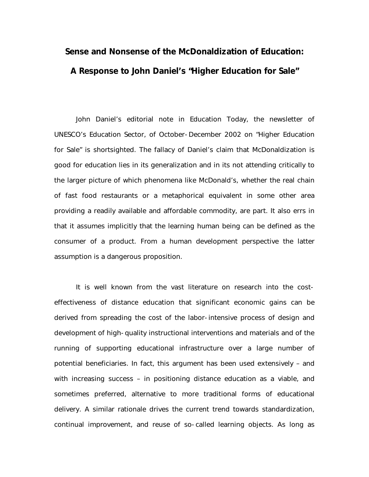## **Sense and Nonsense of the McDonaldization of Education: A Response to John Daniel's "Higher Education for Sale"**

John Daniel's editorial note in *Education Today*, the newsletter of UNESCO's Education Sector, of October-December 2002 on "Higher Education for Sale" is shortsighted. The fallacy of Daniel's claim that McDonaldization is good for education lies in its generalization and in its not attending critically to the larger picture of which phenomena like McDonald's, whether the real chain of fast food restaurants or a metaphorical equivalent in some other area providing a readily available and affordable commodity, are part. It also errs in that it assumes implicitly that the learning human being can be defined as the consumer of a product. From a human development perspective the latter assumption is a dangerous proposition.

It is well known from the vast literature on research into the costeffectiveness of distance education that significant economic gains can be derived from spreading the cost of the labor-intensive process of design and development of high-quality instructional interventions and materials and of the running of supporting educational infrastructure over a large number of potential beneficiaries. In fact, this argument has been used extensively – and with increasing success – in positioning distance education as a viable, and sometimes preferred, alternative to more traditional forms of educational delivery. A similar rationale drives the current trend towards standardization, continual improvement, and reuse of so-called learning objects. As long as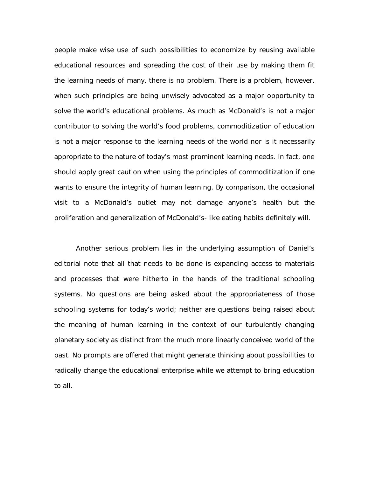people make wise use of such possibilities to economize by reusing available educational resources and spreading the cost of their use by making them fit the learning needs of many, there is no problem. There is a problem, however, when such principles are being unwisely advocated as a major opportunity to solve the world's educational problems. As much as McDonald's is not a major contributor to solving the world's food problems, commoditization of education is not a major response to the learning needs of the world nor is it necessarily appropriate to the nature of today's most prominent learning needs. In fact, one should apply great caution when using the principles of commoditization if one wants to ensure the integrity of human learning. By comparison, the occasional visit to a McDonald's outlet may not damage anyone's health but the proliferation and generalization of McDonald's-like eating habits definitely will.

Another serious problem lies in the underlying assumption of Daniel's editorial note that all that needs to be done is expanding access to materials and processes that were hitherto in the hands of the traditional schooling systems. No questions are being asked about the appropriateness of those schooling systems for today's world; neither are questions being raised about the meaning of human learning in the context of our turbulently changing planetary society as distinct from the much more linearly conceived world of the past. No prompts are offered that might generate thinking about possibilities to radically change the educational enterprise while we attempt to bring education to all.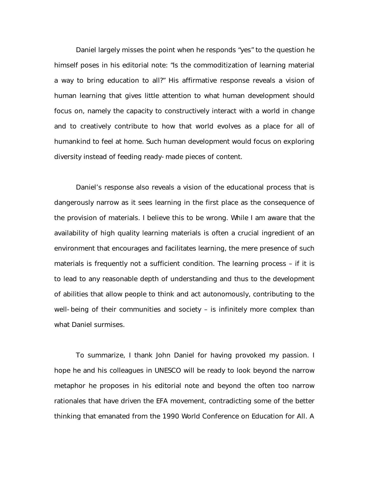Daniel largely misses the point when he responds "yes" to the question he himself poses in his editorial note: "Is the commoditization of learning material a way to bring education to all?" His affirmative response reveals a vision of human learning that gives little attention to what human development should focus on, namely the capacity to constructively interact with a world in change and to creatively contribute to how that world evolves as a place for all of humankind to feel at home. Such human development would focus on exploring diversity instead of feeding ready-made pieces of content.

Daniel's response also reveals a vision of the educational process that is dangerously narrow as it sees learning in the first place as the consequence of the provision of materials. I believe this to be wrong. While I am aware that the availability of high quality learning materials is often a crucial ingredient of an environment that encourages and facilitates learning, the mere presence of such materials is frequently not a sufficient condition. The learning process – if it is to lead to any reasonable depth of understanding and thus to the development of abilities that allow people to think and act autonomously, contributing to the well-being of their communities and society – is infinitely more complex than what Daniel surmises.

To summarize, I thank John Daniel for having provoked my passion. I hope he and his colleagues in UNESCO will be ready to look beyond the narrow metaphor he proposes in his editorial note and beyond the often too narrow rationales that have driven the EFA movement, contradicting some of the better thinking that emanated from the 1990 World Conference on Education for All. A